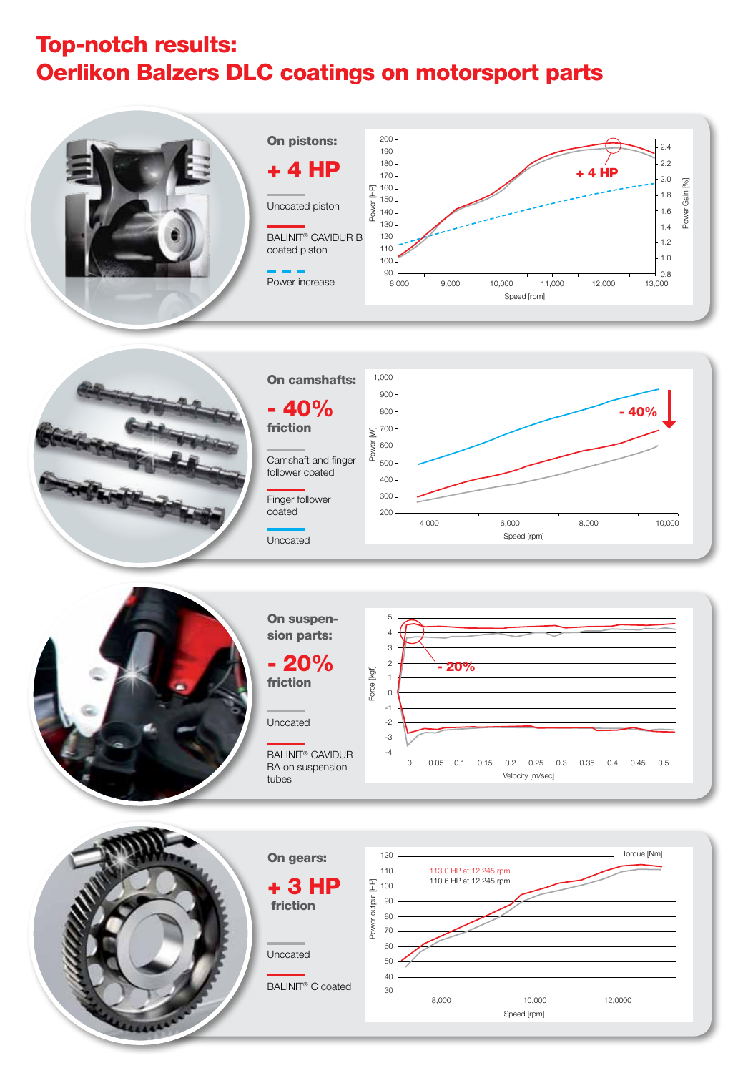## Top-notch results: Oerlikon Balzers DLC coatings on motorsport parts







On suspension parts:

- 20% friction

Uncoated

BALINIT® CaviDur BA on suspension tubes





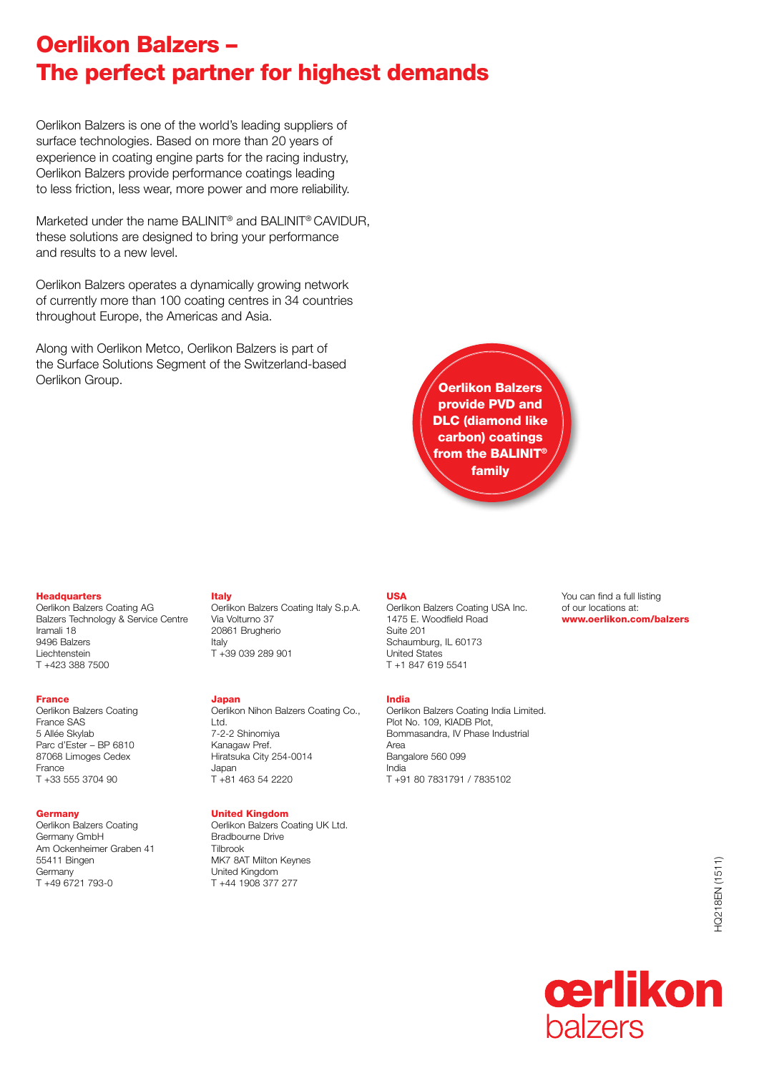## Oerlikon Balzers – The perfect partner for highest demands

Oerlikon Balzers is one of the world's leading suppliers of surface technologies. Based on more than 20 years of experience in coating engine parts for the racing industry, Oerlikon Balzers provide performance coatings leading to less friction, less wear, more power and more reliability.

Marketed under the name BALINIT® and BALINIT® CAVIDUR, these solutions are designed to bring your performance and results to a new level.

Oerlikon Balzers operates a dynamically growing network of currently more than 100 coating centres in 34 countries throughout Europe, the Americas and Asia.

Along with Oerlikon Metco, Oerlikon Balzers is part of the Surface Solutions Segment of the Switzerland-based **Oerlikon Group.** Output and the contract of the contract of the contract of the contract of the contract of the contract of the contract of the contract of the contract of the contract of the contract of the contract of t

provide PVD and DLC (diamond like carbon) coatings from the BALINIT<sup>®</sup> family

#### **Headquarters**

Oerlikon Balzers Coating AG Balzers Technology & Service Centre Iramali 18 9496 Balzers Liechtenstein T +423 388 7500

#### France

Oerlikon Balzers Coating France SAS 5 Allée Skylab Parc d'Ester – BP 6810 87068 Limoges Cedex France T +33 555 3704 90

### **Germany**

Oerlikon Balzers Coating Germany GmbH Am Ockenheimer Graben 41 55411 Bingen **Germany** T +49 6721 793-0

#### Italy

Oerlikon Balzers Coating Italy S.p.A. Via Volturno 37 20861 Brugherio Italy T +39 039 289 901

#### Japan

Oerlikon Nihon Balzers Coating Co., Ltd. 7-2-2 Shinomiya Kanagaw Pref. Hiratsuka City 254-0014 Japan T +81 463 54 2220

## United Kingdom

Oerlikon Balzers Coating UK Ltd. Bradbourne Drive Tilbrook MK7 8AT Milton Keynes United Kingdom T +44 1908 377 277

#### USA

Oerlikon Balzers Coating USA Inc. 1475 E. Woodfield Road Suite 201 Schaumburg, IL 60173 United States T +1 847 619 5541

#### India

Oerlikon Balzers Coating India Limited. Plot No. 109, KIADB Plot, Bommasandra, IV Phase Industrial Area Bangalore 560 099 India T +91 80 7831791 / 7835102

You can find a full listing of our locations at: www.oerlikon.com/balzers

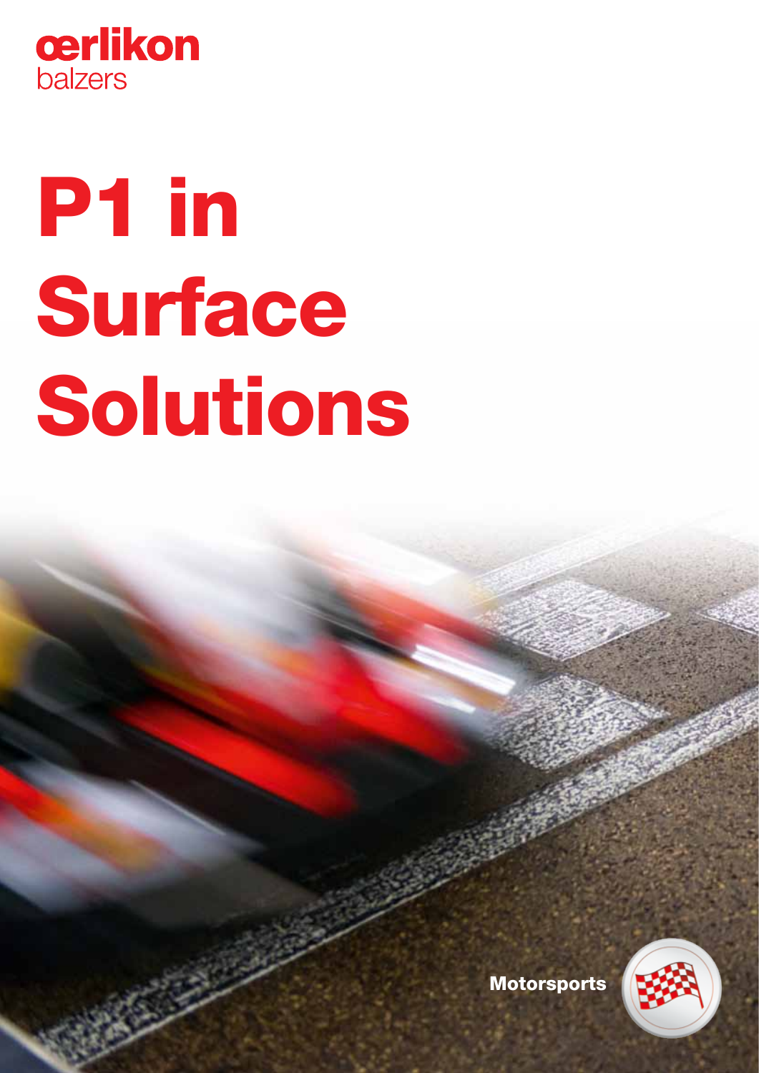

# P1 in Surface Solutions

Motorsports

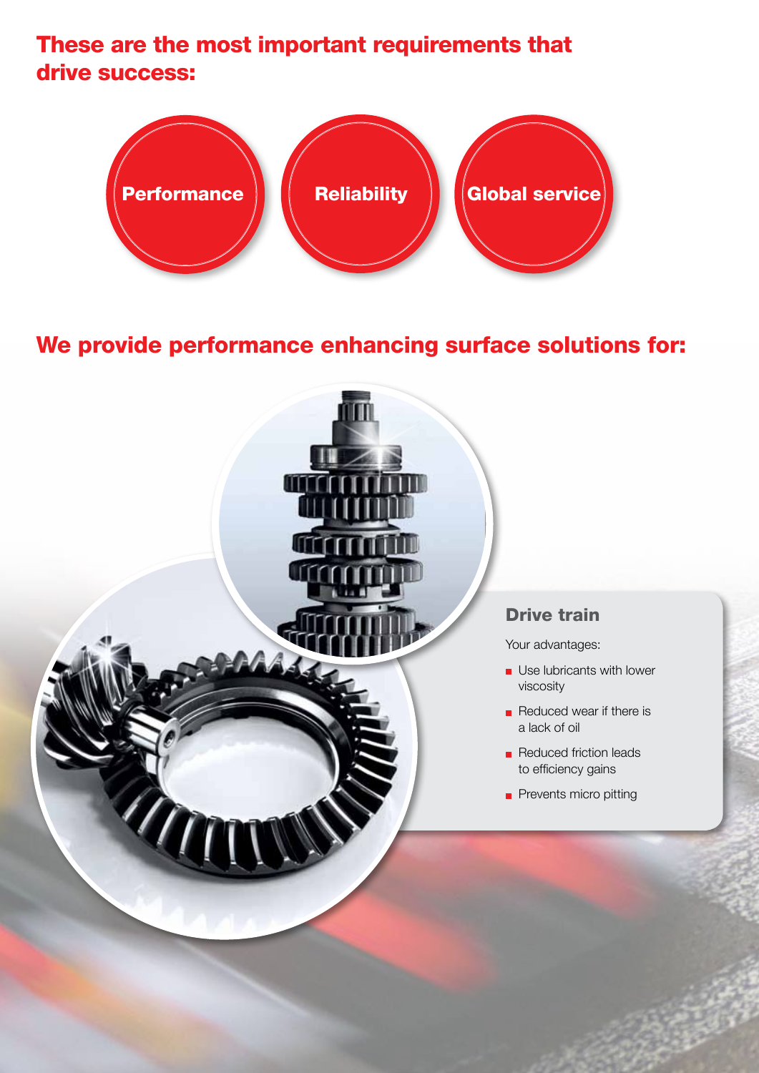## These are the most important requirements that drive success:



## We provide performance enhancing surface solutions for:

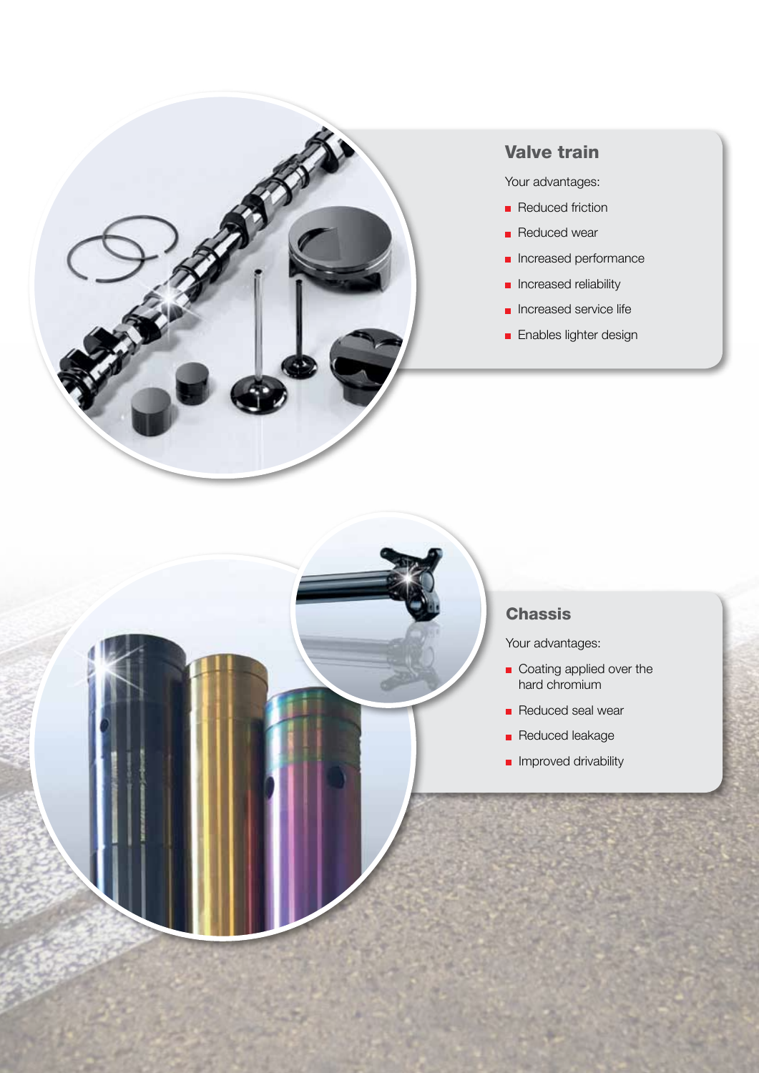

## Valve train

Your advantages:

- Reduced friction
- Reduced wear
- **n** Increased performance
- **n** Increased reliability
- **n** Increased service life
- **Enables lighter design**

## **Chassis**

Your advantages:

- Coating applied over the hard chromium
- Reduced seal wear
- Reduced leakage
- **Improved drivability**